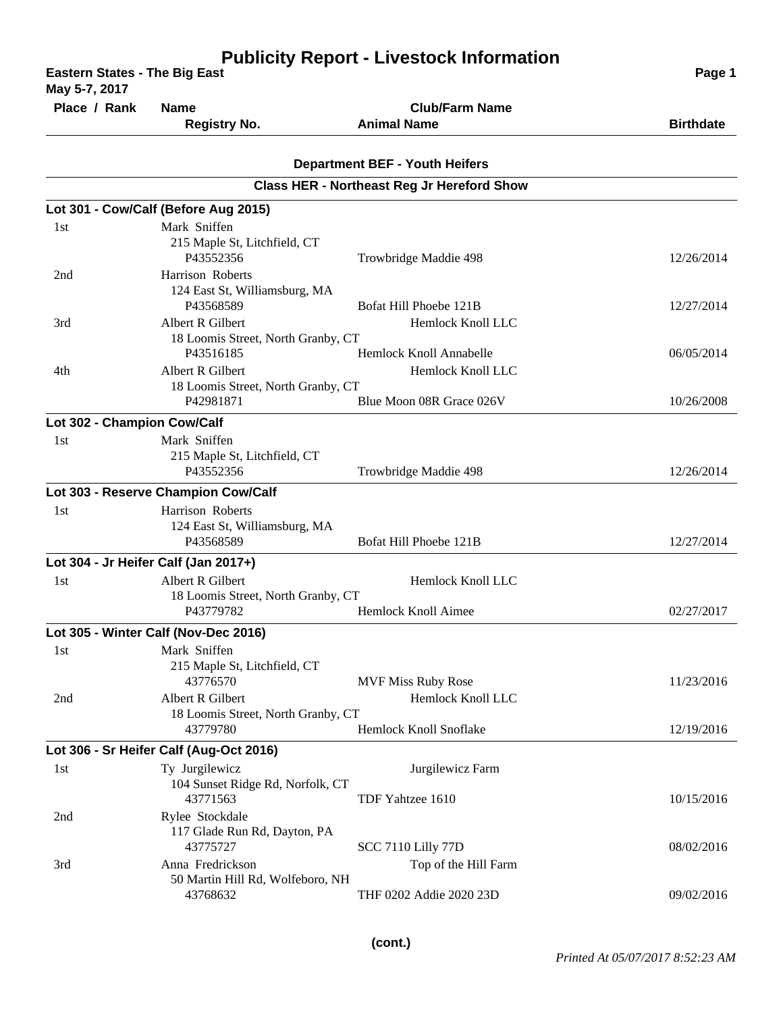| <b>Publicity Report - Livestock Information</b><br><b>Eastern States - The Big East</b><br>May 5-7, 2017 |                                              |                                                   | Page 1           |
|----------------------------------------------------------------------------------------------------------|----------------------------------------------|---------------------------------------------------|------------------|
| Place / Rank                                                                                             | <b>Name</b>                                  | <b>Club/Farm Name</b>                             |                  |
|                                                                                                          | <b>Registry No.</b>                          | <b>Animal Name</b>                                | <b>Birthdate</b> |
|                                                                                                          |                                              |                                                   |                  |
|                                                                                                          |                                              | <b>Department BEF - Youth Heifers</b>             |                  |
|                                                                                                          |                                              | <b>Class HER - Northeast Reg Jr Hereford Show</b> |                  |
|                                                                                                          | Lot 301 - Cow/Calf (Before Aug 2015)         |                                                   |                  |
| 1st                                                                                                      | Mark Sniffen                                 |                                                   |                  |
|                                                                                                          | 215 Maple St, Litchfield, CT<br>P43552356    |                                                   |                  |
| 2nd                                                                                                      | Harrison Roberts                             | Trowbridge Maddie 498                             | 12/26/2014       |
|                                                                                                          | 124 East St, Williamsburg, MA                |                                                   |                  |
|                                                                                                          | P43568589                                    | Bofat Hill Phoebe 121B                            | 12/27/2014       |
| 3rd                                                                                                      | Albert R Gilbert                             | Hemlock Knoll LLC                                 |                  |
|                                                                                                          | 18 Loomis Street, North Granby, CT           |                                                   |                  |
|                                                                                                          | P43516185                                    | Hemlock Knoll Annabelle                           | 06/05/2014       |
| 4th                                                                                                      | Albert R Gilbert                             | Hemlock Knoll LLC                                 |                  |
|                                                                                                          | 18 Loomis Street, North Granby, CT           | Blue Moon 08R Grace 026V                          | 10/26/2008       |
|                                                                                                          | P42981871                                    |                                                   |                  |
| Lot 302 - Champion Cow/Calf                                                                              |                                              |                                                   |                  |
| 1st                                                                                                      | Mark Sniffen<br>215 Maple St, Litchfield, CT |                                                   |                  |
|                                                                                                          | P43552356                                    | Trowbridge Maddie 498                             | 12/26/2014       |
|                                                                                                          | Lot 303 - Reserve Champion Cow/Calf          |                                                   |                  |
| 1st                                                                                                      | Harrison Roberts                             |                                                   |                  |
|                                                                                                          | 124 East St, Williamsburg, MA                |                                                   |                  |
|                                                                                                          | P43568589                                    | Bofat Hill Phoebe 121B                            | 12/27/2014       |
|                                                                                                          | Lot 304 - Jr Heifer Calf (Jan 2017+)         |                                                   |                  |
| 1st                                                                                                      | Albert R Gilbert                             | Hemlock Knoll LLC                                 |                  |
|                                                                                                          | 18 Loomis Street, North Granby, CT           |                                                   |                  |
|                                                                                                          | P43779782                                    | Hemlock Knoll Aimee                               | 02/27/2017       |
|                                                                                                          | Lot 305 - Winter Calf (Nov-Dec 2016)         |                                                   |                  |
| 1st                                                                                                      | Mark Sniffen                                 |                                                   |                  |
|                                                                                                          | 215 Maple St, Litchfield, CT<br>43776570     | <b>MVF Miss Ruby Rose</b>                         | 11/23/2016       |
| 2nd                                                                                                      | Albert R Gilbert                             | Hemlock Knoll LLC                                 |                  |
|                                                                                                          | 18 Loomis Street, North Granby, CT           |                                                   |                  |
|                                                                                                          | 43779780                                     | Hemlock Knoll Snoflake                            | 12/19/2016       |
|                                                                                                          | Lot 306 - Sr Heifer Calf (Aug-Oct 2016)      |                                                   |                  |
| 1st                                                                                                      | Ty Jurgilewicz                               | Jurgilewicz Farm                                  |                  |
|                                                                                                          | 104 Sunset Ridge Rd, Norfolk, CT             |                                                   |                  |
|                                                                                                          | 43771563                                     | TDF Yahtzee 1610                                  | 10/15/2016       |
| 2nd                                                                                                      | Rylee Stockdale                              |                                                   |                  |
|                                                                                                          | 117 Glade Run Rd, Dayton, PA<br>43775727     | <b>SCC 7110 Lilly 77D</b>                         | 08/02/2016       |
| 3rd                                                                                                      | Anna Fredrickson                             | Top of the Hill Farm                              |                  |
|                                                                                                          | 50 Martin Hill Rd, Wolfeboro, NH             |                                                   |                  |
|                                                                                                          | 43768632                                     | THF 0202 Addie 2020 23D                           | 09/02/2016       |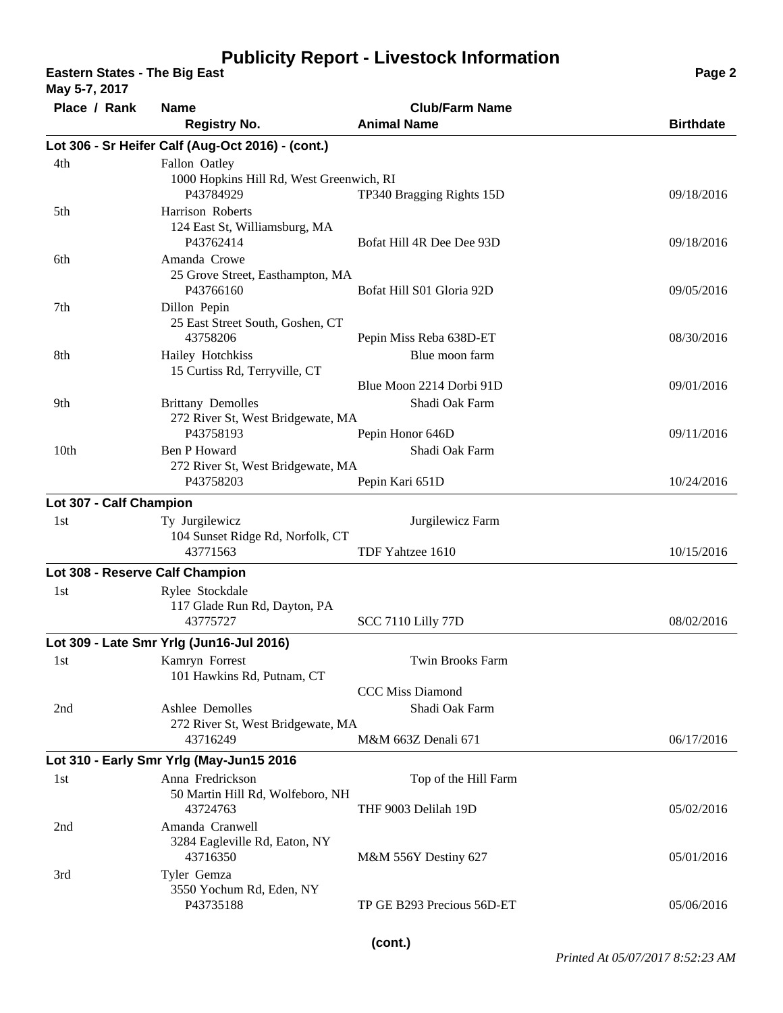**Eastern States - The Big East Page 2 May 5-7, 2017**

| $M$ ay $3 - 1$ , 2017           |                                                                        |                                             |                  |
|---------------------------------|------------------------------------------------------------------------|---------------------------------------------|------------------|
| Place / Rank                    | <b>Name</b><br><b>Registry No.</b>                                     | <b>Club/Farm Name</b><br><b>Animal Name</b> | <b>Birthdate</b> |
|                                 | Lot 306 - Sr Heifer Calf (Aug-Oct 2016) - (cont.)                      |                                             |                  |
| 4th                             | Fallon Oatley<br>1000 Hopkins Hill Rd, West Greenwich, RI<br>P43784929 | TP340 Bragging Rights 15D                   | 09/18/2016       |
| 5th                             | Harrison Roberts<br>124 East St, Williamsburg, MA<br>P43762414         | Bofat Hill 4R Dee Dee 93D                   | 09/18/2016       |
| 6th                             | Amanda Crowe<br>25 Grove Street, Easthampton, MA<br>P43766160          | Bofat Hill S01 Gloria 92D                   | 09/05/2016       |
| 7 <sub>th</sub>                 | Dillon Pepin<br>25 East Street South, Goshen, CT<br>43758206           | Pepin Miss Reba 638D-ET                     | 08/30/2016       |
| 8th                             | Hailey Hotchkiss<br>15 Curtiss Rd, Terryville, CT                      | Blue moon farm                              |                  |
|                                 |                                                                        | Blue Moon 2214 Dorbi 91D                    | 09/01/2016       |
| 9th                             | <b>Brittany Demolles</b><br>272 River St, West Bridgewate, MA          | Shadi Oak Farm                              |                  |
|                                 | P43758193                                                              | Pepin Honor 646D                            | 09/11/2016       |
| 10 <sub>th</sub>                | Ben P Howard                                                           | Shadi Oak Farm                              |                  |
|                                 | 272 River St, West Bridgewate, MA<br>P43758203                         | Pepin Kari 651D                             | 10/24/2016       |
| Lot 307 - Calf Champion         |                                                                        |                                             |                  |
| 1st                             | Ty Jurgilewicz<br>104 Sunset Ridge Rd, Norfolk, CT                     | Jurgilewicz Farm                            |                  |
|                                 | 43771563                                                               | TDF Yahtzee 1610                            | 10/15/2016       |
| Lot 308 - Reserve Calf Champion |                                                                        |                                             |                  |
| 1st                             | Rylee Stockdale<br>117 Glade Run Rd, Dayton, PA<br>43775727            | <b>SCC 7110 Lilly 77D</b>                   | 08/02/2016       |
|                                 | Lot 309 - Late Smr Yrlg (Jun16-Jul 2016)                               |                                             |                  |
| 1st                             | Kamryn Forrest<br>101 Hawkins Rd, Putnam, CT                           | <b>Twin Brooks Farm</b>                     |                  |
|                                 |                                                                        | <b>CCC Miss Diamond</b>                     |                  |
| 2nd                             | Ashlee Demolles                                                        | Shadi Oak Farm                              |                  |
|                                 | 272 River St, West Bridgewate, MA                                      |                                             |                  |
|                                 | 43716249                                                               | M&M 663Z Denali 671                         | 06/17/2016       |
|                                 | Lot 310 - Early Smr Yrlg (May-Jun15 2016                               |                                             |                  |
| 1st                             | Anna Fredrickson<br>50 Martin Hill Rd, Wolfeboro, NH                   | Top of the Hill Farm                        |                  |
|                                 | 43724763                                                               | THF 9003 Delilah 19D                        | 05/02/2016       |
| 2nd                             | Amanda Cranwell<br>3284 Eagleville Rd, Eaton, NY<br>43716350           | M&M 556Y Destiny 627                        | 05/01/2016       |
| 3rd                             | Tyler Gemza<br>3550 Yochum Rd, Eden, NY                                |                                             |                  |
|                                 | P43735188                                                              | TP GE B293 Precious 56D-ET                  | 05/06/2016       |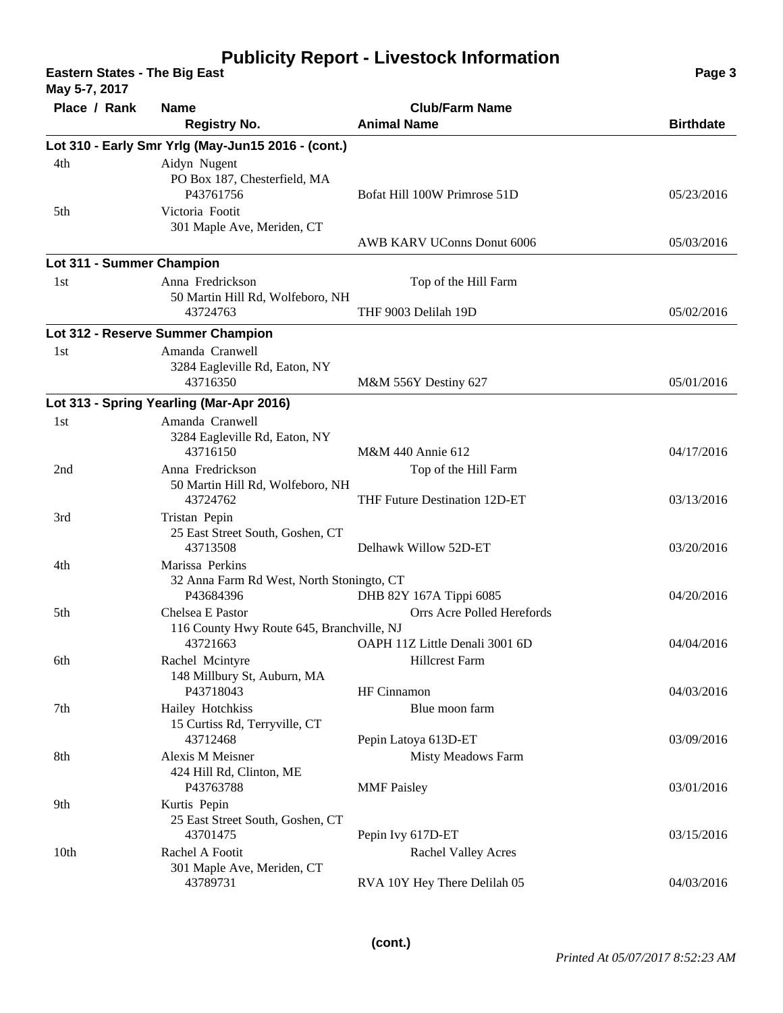**Eastern States - The Big East Page 3**

**May 5-7, 2017**

| Place / Rank              | <b>Name</b><br><b>Registry No.</b>                                        | <b>Club/Farm Name</b><br><b>Animal Name</b>           | <b>Birthdate</b> |
|---------------------------|---------------------------------------------------------------------------|-------------------------------------------------------|------------------|
|                           | Lot 310 - Early Smr Yrlg (May-Jun15 2016 - (cont.)                        |                                                       |                  |
| 4th                       | Aidyn Nugent<br>PO Box 187, Chesterfield, MA<br>P43761756                 | Bofat Hill 100W Primrose 51D                          | 05/23/2016       |
| 5th                       | Victoria Footit<br>301 Maple Ave, Meriden, CT                             | AWB KARV UConns Donut 6006                            | 05/03/2016       |
| Lot 311 - Summer Champion |                                                                           |                                                       |                  |
| 1st                       | Anna Fredrickson                                                          | Top of the Hill Farm                                  |                  |
|                           | 50 Martin Hill Rd, Wolfeboro, NH<br>43724763                              | THF 9003 Delilah 19D                                  | 05/02/2016       |
|                           | Lot 312 - Reserve Summer Champion                                         |                                                       |                  |
| 1st                       | Amanda Cranwell<br>3284 Eagleville Rd, Eaton, NY<br>43716350              | M&M 556Y Destiny 627                                  | 05/01/2016       |
|                           | Lot 313 - Spring Yearling (Mar-Apr 2016)                                  |                                                       |                  |
| 1st                       | Amanda Cranwell                                                           |                                                       |                  |
|                           | 3284 Eagleville Rd, Eaton, NY<br>43716150                                 | M&M 440 Annie 612                                     | 04/17/2016       |
| 2nd                       | Anna Fredrickson<br>50 Martin Hill Rd, Wolfeboro, NH<br>43724762          | Top of the Hill Farm<br>THF Future Destination 12D-ET | 03/13/2016       |
| 3rd                       | Tristan Pepin<br>25 East Street South, Goshen, CT<br>43713508             | Delhawk Willow 52D-ET                                 | 03/20/2016       |
| 4th                       | Marissa Perkins<br>32 Anna Farm Rd West, North Stoningto, CT<br>P43684396 |                                                       | 04/20/2016       |
| 5th                       | Chelsea E Pastor                                                          | DHB 82Y 167A Tippi 6085<br>Orrs Acre Polled Herefords |                  |
|                           | 116 County Hwy Route 645, Branchville, NJ<br>43721663                     | OAPH 11Z Little Denali 3001 6D                        | 04/04/2016       |
| 6th                       | Rachel Mcintyre<br>148 Millbury St, Auburn, MA                            | <b>Hillcrest Farm</b>                                 |                  |
| 7th                       | P43718043<br>Hailey Hotchkiss                                             | HF Cinnamon<br>Blue moon farm                         | 04/03/2016       |
|                           | 15 Curtiss Rd, Terryville, CT<br>43712468                                 | Pepin Latoya 613D-ET                                  | 03/09/2016       |
| 8th                       | Alexis M Meisner<br>424 Hill Rd, Clinton, ME<br>P43763788                 | Misty Meadows Farm<br><b>MMF</b> Paisley              | 03/01/2016       |
| 9th                       | Kurtis Pepin<br>25 East Street South, Goshen, CT<br>43701475              | Pepin Ivy 617D-ET                                     | 03/15/2016       |
| 10 <sub>th</sub>          | Rachel A Footit<br>301 Maple Ave, Meriden, CT                             | <b>Rachel Valley Acres</b>                            |                  |
|                           | 43789731                                                                  | RVA 10Y Hey There Delilah 05                          | 04/03/2016       |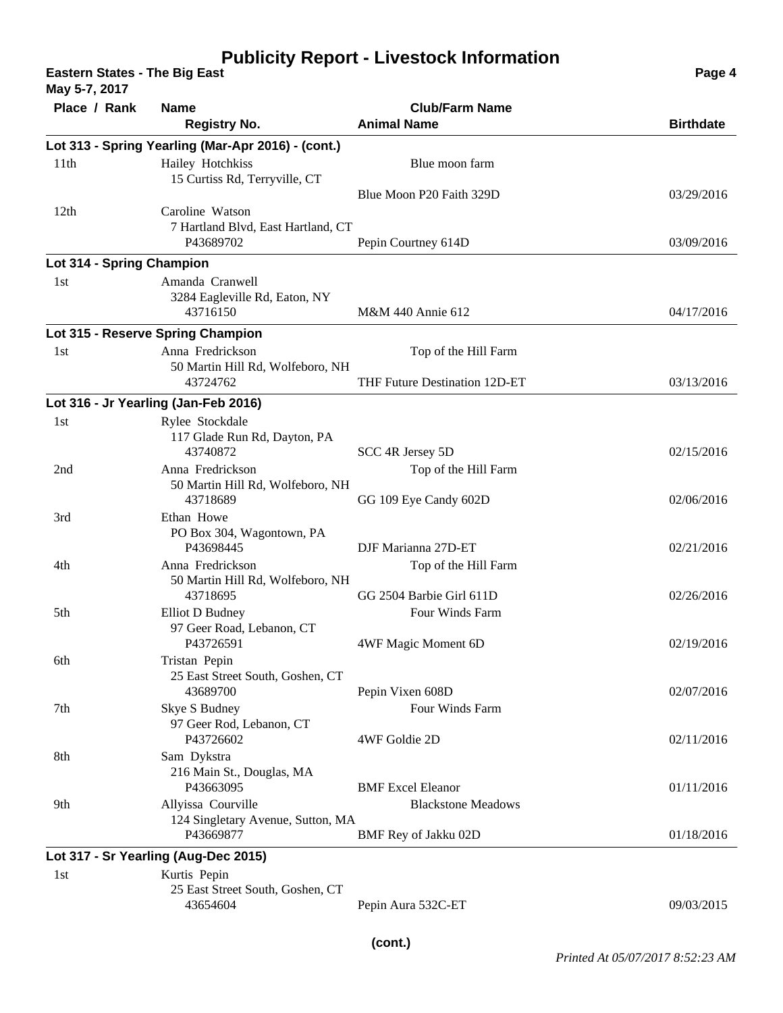**Eastern States - The Big East Page 4 May 5-7, 2017**

| $1100 \text{ J}^{-1}$ , $2011$ |                                                                  |                                                  |                  |
|--------------------------------|------------------------------------------------------------------|--------------------------------------------------|------------------|
| Place / Rank                   | <b>Name</b><br><b>Registry No.</b>                               | <b>Club/Farm Name</b><br><b>Animal Name</b>      | <b>Birthdate</b> |
|                                | Lot 313 - Spring Yearling (Mar-Apr 2016) - (cont.)               |                                                  |                  |
| 11th                           | Hailey Hotchkiss<br>15 Curtiss Rd, Terryville, CT                | Blue moon farm                                   |                  |
| 12th                           | Caroline Watson                                                  | Blue Moon P20 Faith 329D                         | 03/29/2016       |
|                                | 7 Hartland Blvd, East Hartland, CT<br>P43689702                  | Pepin Courtney 614D                              | 03/09/2016       |
| Lot 314 - Spring Champion      |                                                                  |                                                  |                  |
| 1st                            | Amanda Cranwell<br>3284 Eagleville Rd, Eaton, NY<br>43716150     | M&M 440 Annie 612                                | 04/17/2016       |
|                                | Lot 315 - Reserve Spring Champion                                |                                                  |                  |
| 1st                            | Anna Fredrickson<br>50 Martin Hill Rd, Wolfeboro, NH             | Top of the Hill Farm                             |                  |
|                                | 43724762                                                         | THF Future Destination 12D-ET                    | 03/13/2016       |
|                                | Lot 316 - Jr Yearling (Jan-Feb 2016)                             |                                                  |                  |
| 1st                            | Rylee Stockdale<br>117 Glade Run Rd, Dayton, PA                  |                                                  |                  |
|                                | 43740872                                                         | SCC 4R Jersey 5D                                 | 02/15/2016       |
| 2nd                            | Anna Fredrickson<br>50 Martin Hill Rd, Wolfeboro, NH<br>43718689 | Top of the Hill Farm<br>GG 109 Eye Candy 602D    | 02/06/2016       |
| 3rd                            | Ethan Howe<br>PO Box 304, Wagontown, PA                          |                                                  |                  |
|                                | P43698445                                                        | DJF Marianna 27D-ET                              | 02/21/2016       |
| 4th                            | Anna Fredrickson<br>50 Martin Hill Rd, Wolfeboro, NH             | Top of the Hill Farm<br>GG 2504 Barbie Girl 611D |                  |
| 5th                            | 43718695<br>Elliot D Budney                                      | Four Winds Farm                                  | 02/26/2016       |
|                                | 97 Geer Road, Lebanon, CT<br>P43726591                           | 4WF Magic Moment 6D                              | 02/19/2016       |
| 6th                            | Tristan Pepin<br>25 East Street South, Goshen, CT                |                                                  |                  |
|                                | 43689700                                                         | Pepin Vixen 608D                                 | 02/07/2016       |
| 7th                            | Skye S Budney                                                    | Four Winds Farm                                  |                  |
|                                | 97 Geer Rod, Lebanon, CT<br>P43726602                            | 4WF Goldie 2D                                    | 02/11/2016       |
| 8th                            | Sam Dykstra<br>216 Main St., Douglas, MA<br>P43663095            | <b>BMF</b> Excel Eleanor                         | 01/11/2016       |
| 9th                            | Allyissa Courville                                               | <b>Blackstone Meadows</b>                        |                  |
|                                | 124 Singletary Avenue, Sutton, MA<br>P43669877                   | BMF Rey of Jakku 02D                             | 01/18/2016       |
|                                | Lot 317 - Sr Yearling (Aug-Dec 2015)                             |                                                  |                  |
| 1st                            | Kurtis Pepin<br>25 East Street South, Goshen, CT                 |                                                  |                  |
|                                | 43654604                                                         | Pepin Aura 532C-ET                               | 09/03/2015       |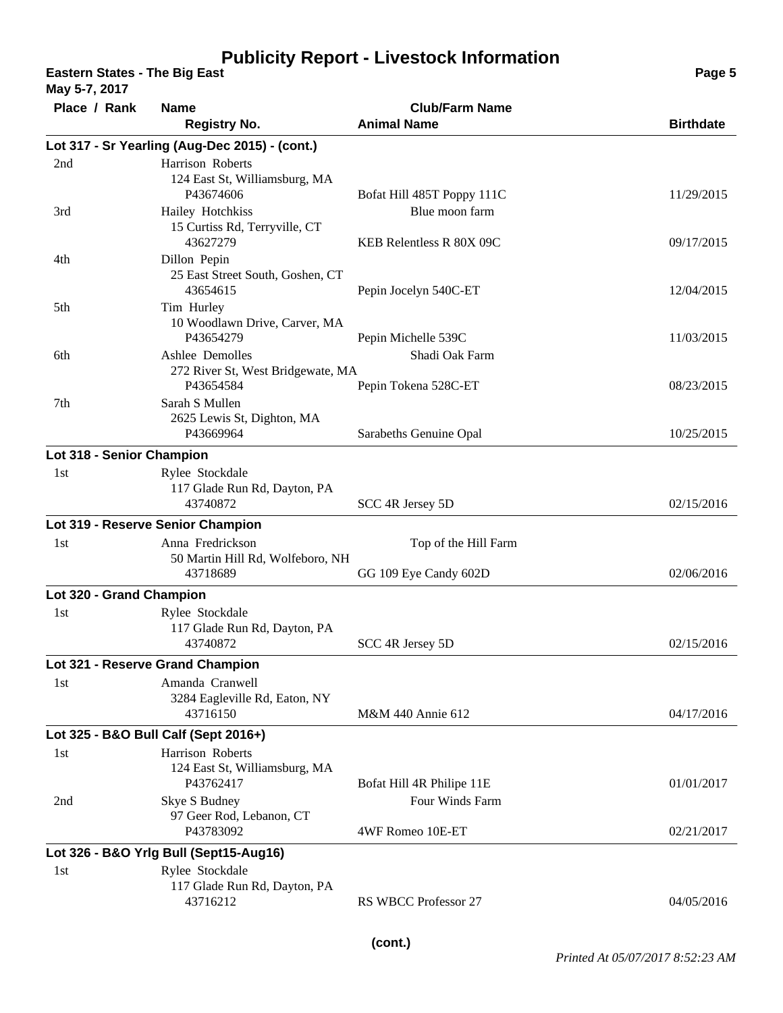**Eastern States - The Big East Page 5**

**May 5-7, 2017**

| Place / Rank              | <b>Name</b>                                                       | <b>Club/Farm Name</b>                      |                  |
|---------------------------|-------------------------------------------------------------------|--------------------------------------------|------------------|
|                           | <b>Registry No.</b>                                               | <b>Animal Name</b>                         | <b>Birthdate</b> |
|                           | Lot 317 - Sr Yearling (Aug-Dec 2015) - (cont.)                    |                                            |                  |
| 2nd                       | Harrison Roberts<br>124 East St, Williamsburg, MA<br>P43674606    | Bofat Hill 485T Poppy 111C                 | 11/29/2015       |
| 3rd                       | Hailey Hotchkiss<br>15 Curtiss Rd, Terryville, CT<br>43627279     | Blue moon farm<br>KEB Relentless R 80X 09C | 09/17/2015       |
| 4th                       | Dillon Pepin<br>25 East Street South, Goshen, CT<br>43654615      | Pepin Jocelyn 540C-ET                      | 12/04/2015       |
| 5th                       | Tim Hurley<br>10 Woodlawn Drive, Carver, MA<br>P43654279          | Pepin Michelle 539C                        | 11/03/2015       |
| 6th                       | Ashlee Demolles<br>272 River St, West Bridgewate, MA<br>P43654584 | Shadi Oak Farm<br>Pepin Tokena 528C-ET     | 08/23/2015       |
| 7 <sub>th</sub>           | Sarah S Mullen<br>2625 Lewis St, Dighton, MA<br>P43669964         | Sarabeths Genuine Opal                     | 10/25/2015       |
| Lot 318 - Senior Champion |                                                                   |                                            |                  |
| 1st                       | Rylee Stockdale<br>117 Glade Run Rd, Dayton, PA<br>43740872       | SCC 4R Jersey 5D                           | 02/15/2016       |
|                           | Lot 319 - Reserve Senior Champion                                 |                                            |                  |
| 1st                       | Anna Fredrickson<br>50 Martin Hill Rd, Wolfeboro, NH              | Top of the Hill Farm                       |                  |
|                           | 43718689                                                          | GG 109 Eye Candy 602D                      | 02/06/2016       |
| Lot 320 - Grand Champion  |                                                                   |                                            |                  |
| 1st                       | Rylee Stockdale<br>117 Glade Run Rd, Dayton, PA<br>43740872       | SCC 4R Jersey 5D                           | 02/15/2016       |
|                           | Lot 321 - Reserve Grand Champion                                  |                                            |                  |
| 1st                       | Amanda Cranwell<br>3284 Eagleville Rd, Eaton, NY<br>43716150      | M&M 440 Annie 612                          | 04/17/2016       |
|                           | Lot 325 - B&O Bull Calf (Sept 2016+)                              |                                            |                  |
| 1st                       | Harrison Roberts<br>124 East St, Williamsburg, MA<br>P43762417    | Bofat Hill 4R Philipe 11E                  | 01/01/2017       |
| 2nd                       | Skye S Budney<br>97 Geer Rod, Lebanon, CT<br>P43783092            | Four Winds Farm<br>4WF Romeo 10E-ET        | 02/21/2017       |
|                           | Lot 326 - B&O Yrig Bull (Sept15-Aug16)                            |                                            |                  |
| 1st                       | Rylee Stockdale<br>117 Glade Run Rd, Dayton, PA                   |                                            |                  |
|                           | 43716212                                                          | <b>RS WBCC Professor 27</b>                | 04/05/2016       |